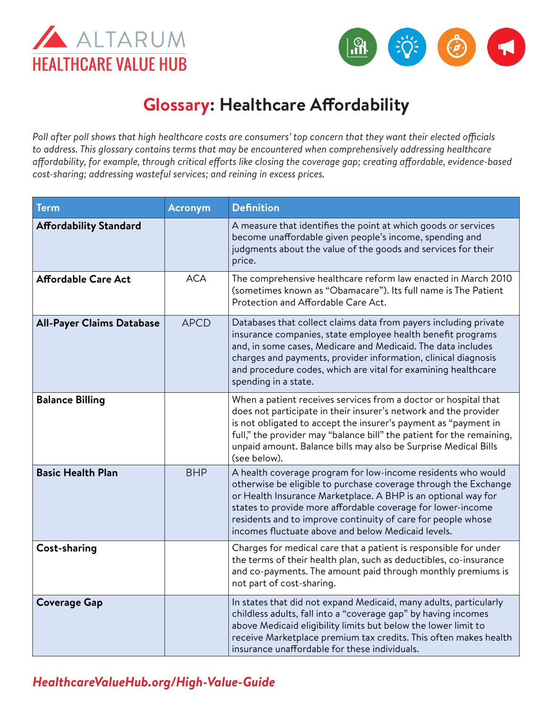



## **Glossary: Healthcare Affordability**

*Poll after poll shows that high healthcare costs are consumers' top concern that they want their elected officials to address. This glossary contains terms that may be encountered when comprehensively addressing healthcare affordability, for example, through critical efforts like closing the coverage gap; creating affordable, evidence-based cost-sharing; addressing wasteful services; and reining in excess prices.* 

| Term                             | <b>Acronym</b> | <b>Definition</b>                                                                                                                                                                                                                                                                                                                                                                     |
|----------------------------------|----------------|---------------------------------------------------------------------------------------------------------------------------------------------------------------------------------------------------------------------------------------------------------------------------------------------------------------------------------------------------------------------------------------|
| <b>Affordability Standard</b>    |                | A measure that identifies the point at which goods or services<br>become unaffordable given people's income, spending and<br>judgments about the value of the goods and services for their<br>price.                                                                                                                                                                                  |
| <b>Affordable Care Act</b>       | <b>ACA</b>     | The comprehensive healthcare reform law enacted in March 2010<br>(sometimes known as "Obamacare"). Its full name is The Patient<br>Protection and Affordable Care Act.                                                                                                                                                                                                                |
| <b>All-Payer Claims Database</b> | <b>APCD</b>    | Databases that collect claims data from payers including private<br>insurance companies, state employee health benefit programs<br>and, in some cases, Medicare and Medicaid. The data includes<br>charges and payments, provider information, clinical diagnosis<br>and procedure codes, which are vital for examining healthcare<br>spending in a state.                            |
| <b>Balance Billing</b>           |                | When a patient receives services from a doctor or hospital that<br>does not participate in their insurer's network and the provider<br>is not obligated to accept the insurer's payment as "payment in<br>full," the provider may "balance bill" the patient for the remaining,<br>unpaid amount. Balance bills may also be Surprise Medical Bills<br>(see below).                    |
| <b>Basic Health Plan</b>         | <b>BHP</b>     | A health coverage program for low-income residents who would<br>otherwise be eligible to purchase coverage through the Exchange<br>or Health Insurance Marketplace. A BHP is an optional way for<br>states to provide more affordable coverage for lower-income<br>residents and to improve continuity of care for people whose<br>incomes fluctuate above and below Medicaid levels. |
| Cost-sharing                     |                | Charges for medical care that a patient is responsible for under<br>the terms of their health plan, such as deductibles, co-insurance<br>and co-payments. The amount paid through monthly premiums is<br>not part of cost-sharing.                                                                                                                                                    |
| <b>Coverage Gap</b>              |                | In states that did not expand Medicaid, many adults, particularly<br>childless adults, fall into a "coverage gap" by having incomes<br>above Medicaid eligibility limits but below the lower limit to<br>receive Marketplace premium tax credits. This often makes health<br>insurance unaffordable for these individuals.                                                            |

## *[HealthcareValueHub.org/H](https://www.HealthcareValueHub.org/high-value-guide)igh-Value-Guide*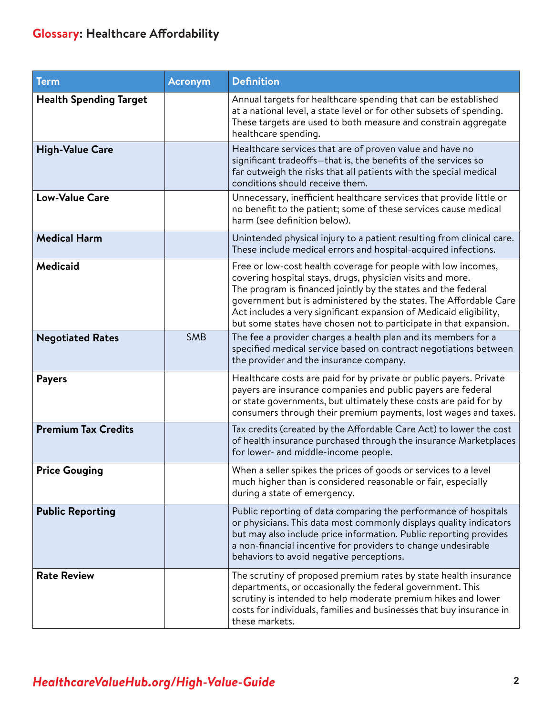## **Glossary: Healthcare Affordability**

| <b>Term</b>                   | <b>Acronym</b> | <b>Definition</b>                                                                                                                                                                                                                                                                                                                                                                                            |
|-------------------------------|----------------|--------------------------------------------------------------------------------------------------------------------------------------------------------------------------------------------------------------------------------------------------------------------------------------------------------------------------------------------------------------------------------------------------------------|
| <b>Health Spending Target</b> |                | Annual targets for healthcare spending that can be established<br>at a national level, a state level or for other subsets of spending.<br>These targets are used to both measure and constrain aggregate<br>healthcare spending.                                                                                                                                                                             |
| <b>High-Value Care</b>        |                | Healthcare services that are of proven value and have no<br>significant tradeoffs-that is, the benefits of the services so<br>far outweigh the risks that all patients with the special medical<br>conditions should receive them.                                                                                                                                                                           |
| <b>Low-Value Care</b>         |                | Unnecessary, inefficient healthcare services that provide little or<br>no benefit to the patient; some of these services cause medical<br>harm (see definition below).                                                                                                                                                                                                                                       |
| <b>Medical Harm</b>           |                | Unintended physical injury to a patient resulting from clinical care.<br>These include medical errors and hospital-acquired infections.                                                                                                                                                                                                                                                                      |
| <b>Medicaid</b>               |                | Free or low-cost health coverage for people with low incomes,<br>covering hospital stays, drugs, physician visits and more.<br>The program is financed jointly by the states and the federal<br>government but is administered by the states. The Affordable Care<br>Act includes a very significant expansion of Medicaid eligibility,<br>but some states have chosen not to participate in that expansion. |
| <b>Negotiated Rates</b>       | <b>SMB</b>     | The fee a provider charges a health plan and its members for a<br>specified medical service based on contract negotiations between<br>the provider and the insurance company.                                                                                                                                                                                                                                |
| <b>Payers</b>                 |                | Healthcare costs are paid for by private or public payers. Private<br>payers are insurance companies and public payers are federal<br>or state governments, but ultimately these costs are paid for by<br>consumers through their premium payments, lost wages and taxes.                                                                                                                                    |
| <b>Premium Tax Credits</b>    |                | Tax credits (created by the Affordable Care Act) to lower the cost<br>of health insurance purchased through the insurance Marketplaces<br>for lower- and middle-income people.                                                                                                                                                                                                                               |
| <b>Price Gouging</b>          |                | When a seller spikes the prices of goods or services to a level<br>much higher than is considered reasonable or fair, especially<br>during a state of emergency.                                                                                                                                                                                                                                             |
| <b>Public Reporting</b>       |                | Public reporting of data comparing the performance of hospitals<br>or physicians. This data most commonly displays quality indicators<br>but may also include price information. Public reporting provides<br>a non-financial incentive for providers to change undesirable<br>behaviors to avoid negative perceptions.                                                                                      |
| <b>Rate Review</b>            |                | The scrutiny of proposed premium rates by state health insurance<br>departments, or occasionally the federal government. This<br>scrutiny is intended to help moderate premium hikes and lower<br>costs for individuals, families and businesses that buy insurance in<br>these markets.                                                                                                                     |